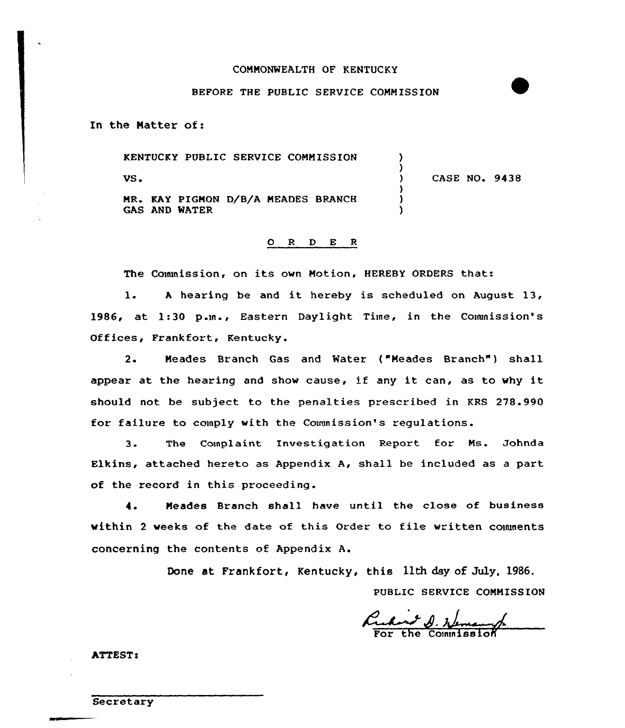#### COMMONWEALTH OF KENTUCKY

#### BEFORE THE PUBLIC SERVICE COMMISSION

In the Natter of:

KENTUCKY PUBLIC SERVICE CONNISSION VS <sup>~</sup> MR. KAY PIGMON D/B/A MEADES BRANCH GAS AND WATER ) ) ) CASE NO. 9438 ) ) )

## ORDER

The Commission, on its own Motion, HEREBY ORDERS that:

l. <sup>A</sup> hearing be and it hereby is scheduled on August 13, 1986, at 1:30 p.m., Eastern Daylight Time, in the Commission's Offices, Frankfort, Kentucky.

2. Neades Branch Gas and Water {"Neades Branch" ) shall appear at the hearing and show cause, if any it can, as to why it should not be subject to the penalties prescribed in KRS 278.990 for failure to comply with the Connnission's regulations.

3. The Complaint Investigation Report for Ns. Johnda Elkins, attached hereto as Appendix A, shall be included as a part of the record in this proceeding.

4. Meades Branch shall have until the close of business within <sup>2</sup> weeks of the date of this Order to file written couunents concerning the contents of Appendix A.

Done at Frankfort, Kentucky, this 11th day of July, 1986.

PUBLIC SERVICE COMNISSION

reduct D. Nemang

ATTEST:

**Secretary**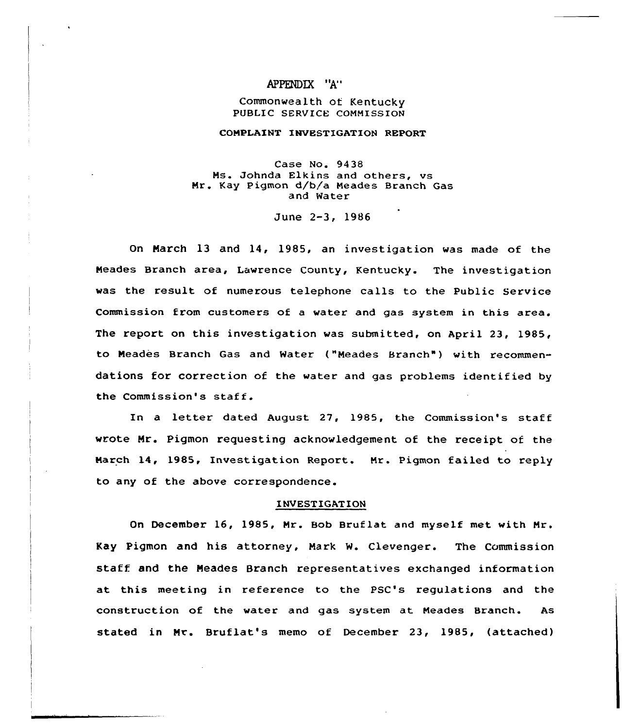### APPENDIX "A"

#### Commonwealth of Kentucky PUBLIC SERVICE COMMISSION

#### CONPLAINT INVESTIGATION REPORT

Case No. 94 38 Ns. Johnda Elkins and others, vs Nr. Kay Pigmon d/b/a Neades Branch Gas and Water

June 2-3, 1986

On March 13 and 14, 1985, an investigation was made of the Neades Branch area, Lawrence County, Kentucky. The investigation was the result of numerous telephone calls to the Public Service Commission from customers of a water and gas system in this area. The report on this investigation was submitted, on April 23, 1985, to Neades Branch Gas and Water ("Neades Branch" ) with recommendations for correction of the water and gas problems identified by the Commission's staff.

In a letter dated August 27, 1985, the Commission's staff wrote Mr. Pigmon requesting acknowledgement of the receipt of the Narch 14, 1985, Investigation Report. Nr. Pigmon failed to reply to any of the above correspondence.

#### INVESTIGATION

On December 16, 1985, Nr. Bob Bruflat and myself met with Nr. Kay Pigmon and his attorney, Nark W. Clevenger. The Commission staff and the Neades Branch representatives exchanged information at this meeting in reference to the PSC's regulations and the construction of the water and gas system at Neades Branch. As stated in Mr. Bruflat's memo of December 23, 1985, (attached)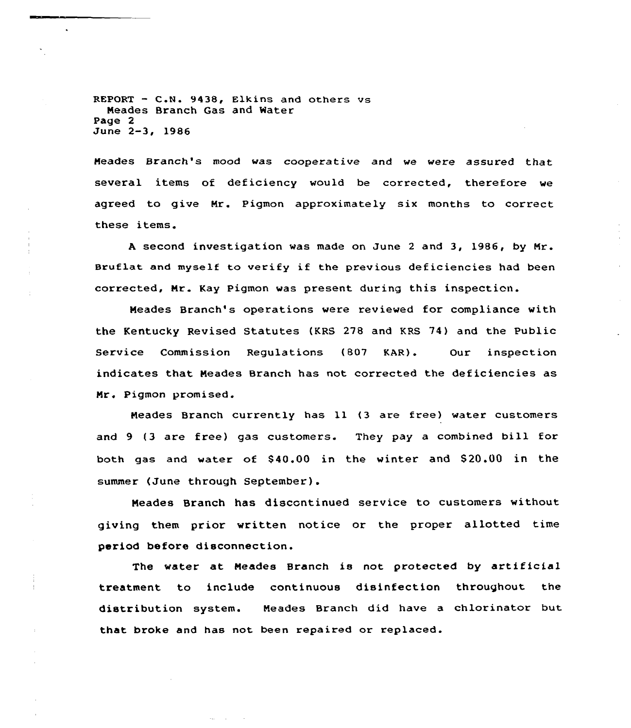REPORT — C.N. 9438, Elkins and others vs Neades Branch Gas and Water Page 2 June 2-3, 1986

Meades Branch's mood was cooperative and we were assured that several items of deficiency would be corrected, therefore we agreed to give Nr. Pigmon approximately six months to correct these items.

<sup>A</sup> second investigation was made on June <sup>2</sup> and 3, 1986, by Nr. Bruflat and myself to verify if the previous deficiencies had been corrected, Nr. Kay Pigman was present during this inspection.

Neades Branch's operations were reviewed for compliance with the Kentucky Revised Statutes (KRS 278 and KRS 74) and the Public Service Commission Regulations (807 KAR). Our inspection indicates that Neades Branch has not corrected the deficiencies as Mr. Pigmon promised.

Neades Branch currently has ll {3 are free) water customers and 9 (3 are free) gas customers. They pay a combined bill for both gas and water of \$40.00 in the winter and \$20.00 in the summer (June through September).

Neades Branch has discontinued service to customers without giving them prior written notice or the proper allotted time period before disconnection.

The water at Neades Branch is not protected by artificial treatment to include continuous disinfection throughout the distribution system. Neades Branch did have a chlorinator but that broke and has not been repaired or replaced.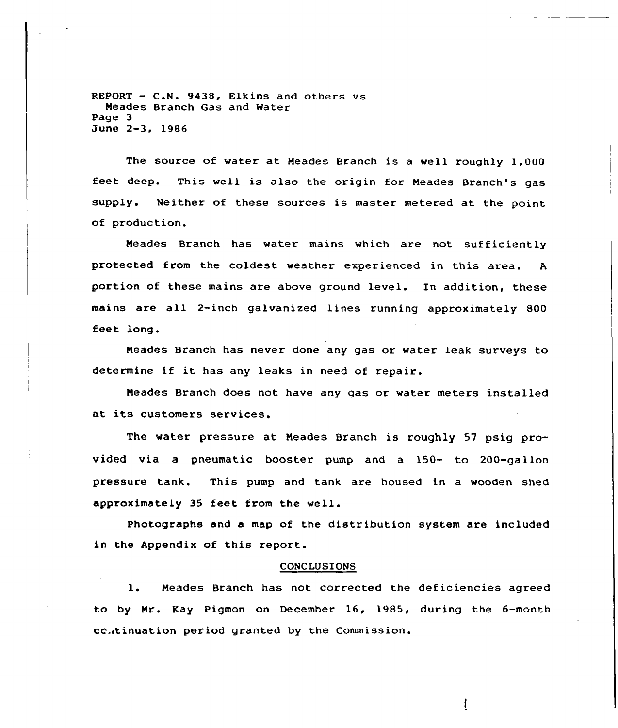REPORT — C.N. 9438, Elkins and others vs Meades Branch Gas and Water Page 3 June 2-3, 19S6

The source of water at Meades Branch is a well roughly 1,000 feet deep. This well is also the origin for Meades Branch's gas supply. Neither of these sources is master metered at the point of production.

Meades Branch has water mains which are not sufficiently protected from the coldest weather experienced in this area. <sup>A</sup> portion of these mains are above ground level. In addition, these mains are all 2-inch galvanized lines running approximately 800 feet long.

Meades Branch has never done any gas or water leak surveys to determine if it has any leaks in need of repair.

Meades Branch does not have any gas or water meters installed at its customers services.

The water pressure at Meades Branch is roughly 57 psig provided via a pneumatic booster pump and a 150- to 200-gallon pressure tank. This pump and tank are housed in a wooden shed approximately 35 feet from the well.

Photographs and a map of the distribution system are included in the Appendix of this report.

#### CONCLUSIONS

1. Meades Branch has not corrected the deficiencies agreed to by Mr. Kay Pigmon on December 16, 19S5, during the 6-month cc.itinuation period granted by the Commission.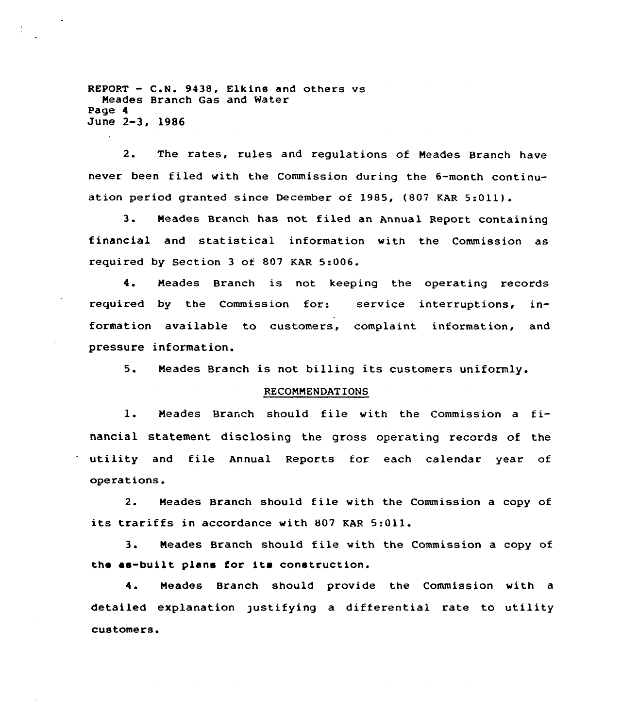$REPORT - C.N. 9438, E1kins and others vs$ Meades Branch Gas and Water Page 4 June 2-3, 1986

2. The rates, rules and regulations of Meades Branch have never been filed with the Commission during the 6-month continuation period granted since December of 1985, (807 KAR 5:011).

3. Meades Branch has not filed an Annual Report containing financial and statistical information with the Commission as required by Section 3 of 807 KAR 5:006.

4. Meades Branch is not keeping the operating records required by the Commission for: service interruptions, information available to customers, complaint information, and pressure information.

5. Meades Branch is not billing its customers uniformly.

#### RECOMMENDATIONS

1. Meades Branch should file with the Commission <sup>a</sup> financial statement disclosing the gross operating records of the utility and file Annual Reports for each calendar year of operations.

2. Meades Branch should file with the Commission a copy of its trariffs in accordance with 807 KAR 5:Oll.

3. Meades Branch should file with the Commission <sup>a</sup> copy of the ss-built plans for its construction.

4. Meades Branch should provide the Commission with a detailed explanation justifying a differential rate to utility customers.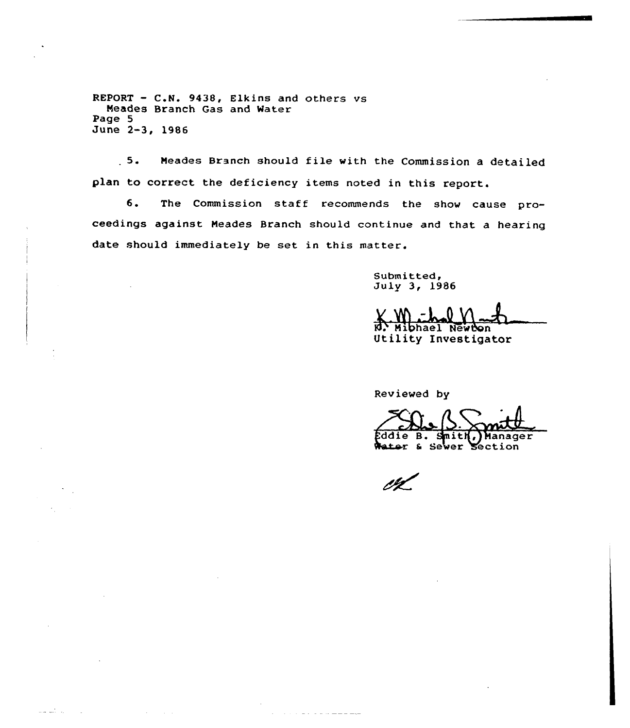REPORT — C.H. 9438, Elkins and others vs Meades Branch Gas and Water Page 5 June 2-3, 1986

الأوار المتعالمين

5. Neades Branch should file with the Commission <sup>a</sup> detailed plan to correct the deficiency items noted in this report.

6. The Commission staff recommends the show cause proceedings against Neades Branch should continue and that a hearing date should immediately be set in this matter.

Submitted, July 3, 1986

 $N$ - Mibhael Newton

Utility Investigator

Reviewed by

fddie B. Smith, Manager<br>Water & Sewer Section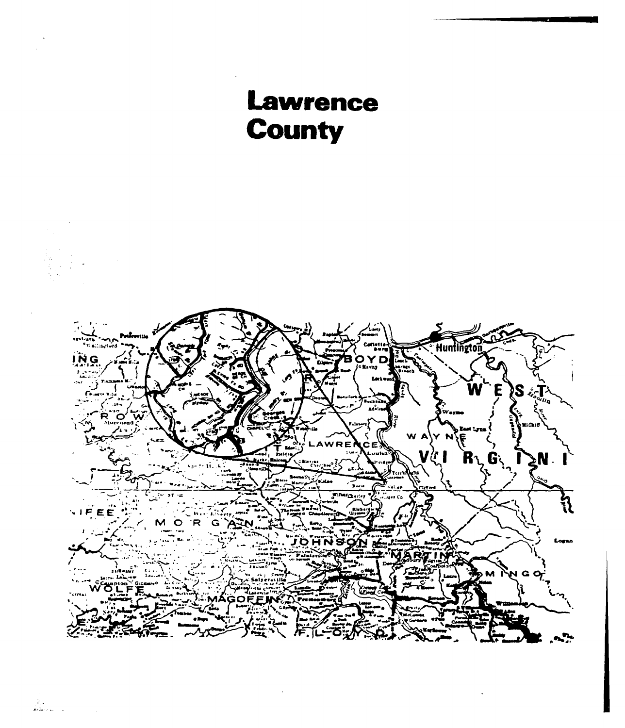

i San<br>Album II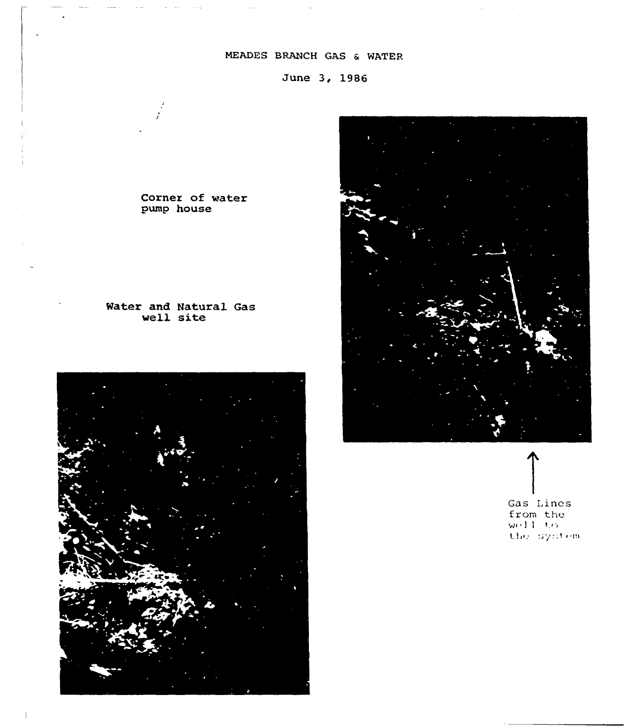# MEADES BRANCH GAS & WATER

June 3, 1986

Corner of water pump house

# Water and Natural Gas well site





Gas Lines from the  $w(11-t)$ the system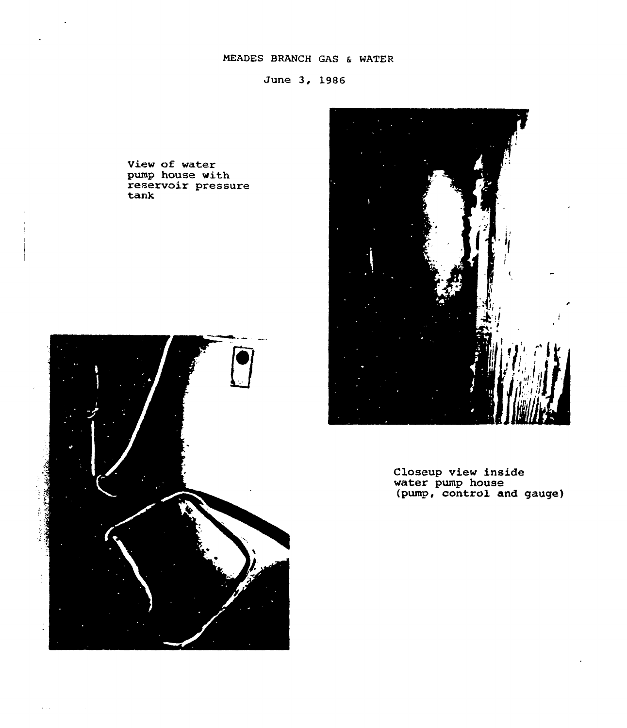# NEADES BRANCH GAS <sup>6</sup> WATER

June 3, 19S6

View of water pump house with<br>reservoir pressur tan)





Closeup view inside water pump house (pump, control and gauge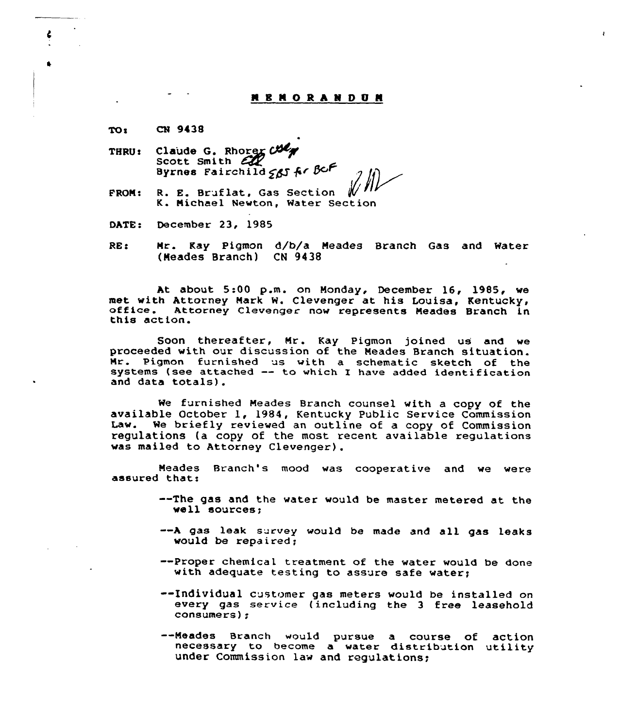#### **N B N O R A N D U H**

CN 9438 TO:

- THRU: Claude G. Rhorex Col Scott Smith  $EQ$ Byrnes Fairchild  $565$  fr  $8c$ F
- FROM: / R. E. Bruflat, Gas Section K. Nichael Newton, Water Section
- DATE: December 23, 1985
- RE: Nr. Kay Pigman d/b/a Neades Branch Gas and Mater (Meades Branch) CN 9438

At about 5:00 p.m. on Nonday, December 16, 1985, we met with Attorney Mark W. Clevenger at his Louisa, Kentucky, office. Attorney Clevenger now represents Meades Branch in this action.

Soon thereafter, Nr. Kay Pigmon joined us and we proceeded with our discussion of the Neades Branch situation. Nr. Pigmon furnished us with a schematic sketch of the systems (see attached -- to which I have added identification systems (see attached  $--$  to which I have added identification and data totals).

Me furnished Neades Branch counsel with <sup>a</sup> copy of the available October 1, 1984, Kentucky Public Service Commission Law. We briefly reviewed an outline of a copy of Commission regulations (a copy of the most recent available regulations was mailed to Attorney Clevenger).

Neades Branch's mood was cooperative and we were assured thati

- --The gas and the water would be master metered at the well sources;
- --A gas leak survey would be made and all gas leaks
- --Proper chemical treatment of the water would be done with adequate testing to assure safe water;
- --Individual customer gas meters would be installed on every gas service (including the 3 free leasehold consumers);
- --Meades Branch would pursue a course of action necessary to become a water distribution utility under Commission law and regulations;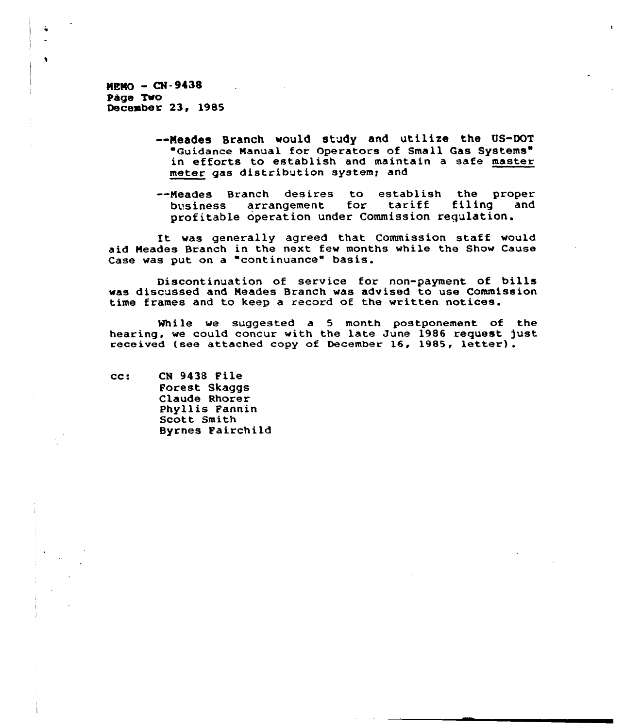$MRMO - CN-9438$ page Two December 23, 1985

 $\ddot{\phantom{1}}$ 

- —Neades Branch would study and utilize the US-DOT Guidance Nanual for Operators of Small Gas Systems in efforts to establish and maintain a safe master meter gas distribution system; and
- --Meades Branch desires to establish the proper<br>business arrangement for tariff filing and arrangement profitable operation under Commission regulation.

It was generally agreed that Commission staff would aid Meades Branch in the next few months while the Show Cause Case was put on a "continuance" basis.

Discontinuation of service for non-payment of bills was discussed and, Neades Branch was advised to use Commission time frames and to keep a record of the written notices.

While we suggested a 5 month postponement of the hearing, we could concur with the late June 1986 request just received (see attached copy of December 16, 1985, letter).

cc: CN 9438 File Forest Skaggs Claude Rhorer Phyllis Pannin Scott Smith Byrnes Fairchild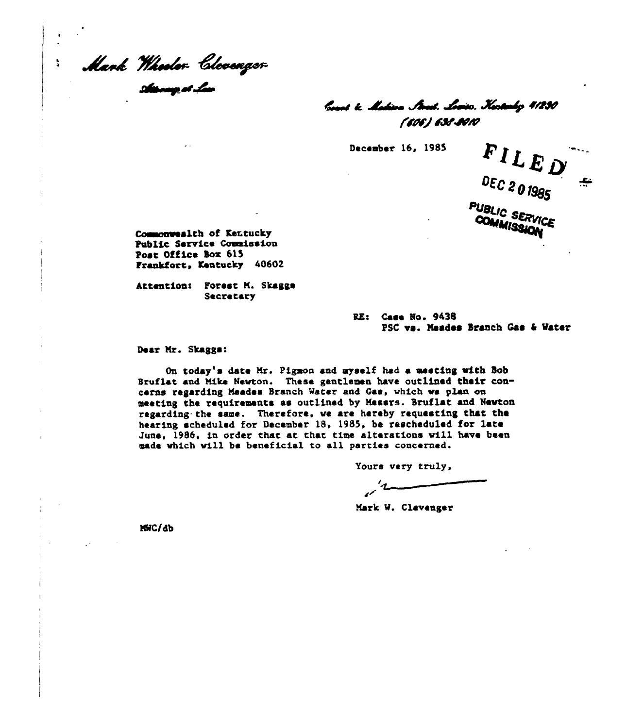Mank "Hheolor libooenger"<br>s**is**my.ar.lux

 $\mathbf{y}$ 

land to Makina Strad, Louiso, Kastanho 4/230 fwcvJ~~is

December 16, 1985

FILED DEC 201985 حیر PUBLIC SERVICE COMMISSION

Commonwealth of Kentucky Public Service Commission Post Office box 615 frankfort, Kentucky 40602

Attention: Forest M. Skaggs Secretary

> RE: Case Ro. 943B PSC vs. Naades Stanch Caa <sup>4</sup> Water

Dear Nr. Skagge:

On today's date Nr. Pigmon and myself hack a meeting mith Sob Bruflat and Hike Hevton. These gentlemen have outlined their concerns regarding Neadea Branch Water and Gae, vhich ve plan on meeting the requirements as outlined by Messrs. Bruflat and Nevton regarding. the same. Therefore. ve are hereby requesting that the hearing scheduled for December 18, 1985, be rescheduled for late June, 1986, in order that at that time alterations will have been made vhich vill be beneficial to all patriae concerned.

Yours very truly,

Mark W. Clevenger

NWC/db